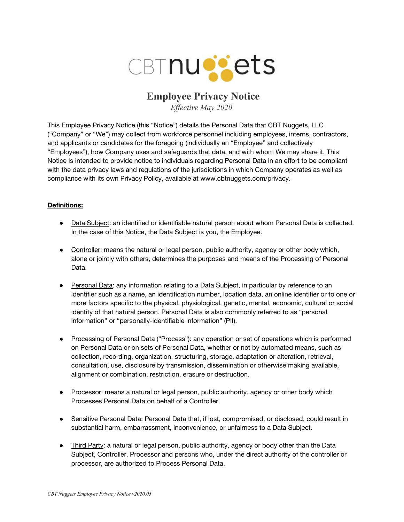

# **Employee Privacy Notice**

*Effective May 2020*

This Employee Privacy Notice (this "Notice") details the Personal Data that CBT Nuggets, LLC ("Company" or "We") may collect from workforce personnel including employees, interns, contractors, and applicants or candidates for the foregoing (individually an "Employee" and collectively "Employees"), how Company uses and safeguards that data, and with whom We may share it. This Notice is intended to provide notice to individuals regarding Personal Data in an effort to be compliant with the data privacy laws and regulations of the jurisdictions in which Company operates as well as compliance with its own Privacy Policy, available at www.cbtnuggets.com/privacy.

## **Definitions:**

- Data Subject: an identified or identifiable natural person about whom Personal Data is collected. In the case of this Notice, the Data Subject is you, the Employee.
- Controller: means the natural or legal person, public authority, agency or other body which, alone or jointly with others, determines the purposes and means of the Processing of Personal Data.
- Personal Data: any information relating to a Data Subject, in particular by reference to an identifier such as a name, an identification number, location data, an online identifier or to one or more factors specific to the physical, physiological, genetic, mental, economic, cultural or social identity of that natural person. Personal Data is also commonly referred to as "personal information" or "personally-identifiable information" (PII).
- Processing of Personal Data ("Process"): any operation or set of operations which is performed on Personal Data or on sets of Personal Data, whether or not by automated means, such as collection, recording, organization, structuring, storage, adaptation or alteration, retrieval, consultation, use, disclosure by transmission, dissemination or otherwise making available, alignment or combination, restriction, erasure or destruction.
- Processor: means a natural or legal person, public authority, agency or other body which Processes Personal Data on behalf of a Controller.
- Sensitive Personal Data: Personal Data that, if lost, compromised, or disclosed, could result in substantial harm, embarrassment, inconvenience, or unfairness to a Data Subject.
- Third Party: a natural or legal person, public authority, agency or body other than the Data Subject, Controller, Processor and persons who, under the direct authority of the controller or processor, are authorized to Process Personal Data.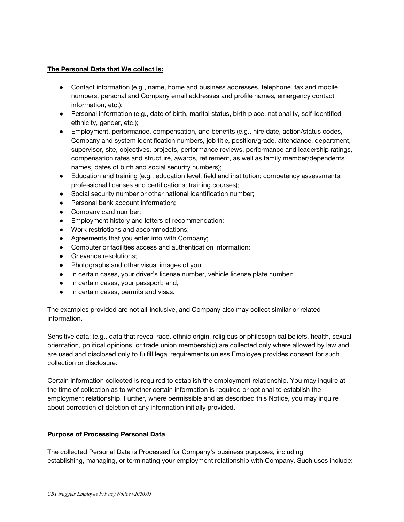#### **The Personal Data that We collect is:**

- Contact information (e.g., name, home and business addresses, telephone, fax and mobile numbers, personal and Company email addresses and profile names, emergency contact information, etc.);
- Personal information (e.g., date of birth, marital status, birth place, nationality, self-identified ethnicity, gender, etc.);
- Employment, performance, compensation, and benefits (e.g., hire date, action/status codes, Company and system identification numbers, job title, position/grade, attendance, department, supervisor, site, objectives, projects, performance reviews, performance and leadership ratings, compensation rates and structure, awards, retirement, as well as family member/dependents names, dates of birth and social security numbers);
- Education and training (e.g., education level, field and institution; competency assessments; professional licenses and certifications; training courses);
- Social security number or other national identification number;
- Personal bank account information;
- Company card number;
- Employment history and letters of recommendation;
- Work restrictions and accommodations;
- Agreements that you enter into with Company;
- Computer or facilities access and authentication information;
- Grievance resolutions:
- Photographs and other visual images of you;
- In certain cases, your driver's license number, vehicle license plate number;
- In certain cases, your passport; and,
- In certain cases, permits and visas.

The examples provided are not all-inclusive, and Company also may collect similar or related information.

Sensitive data: (e.g., data that reveal race, ethnic origin, religious or philosophical beliefs, health, sexual orientation, political opinions, or trade union membership) are collected only where allowed by law and are used and disclosed only to fulfill legal requirements unless Employee provides consent for such collection or disclosure.

Certain information collected is required to establish the employment relationship. You may inquire at the time of collection as to whether certain information is required or optional to establish the employment relationship. Further, where permissible and as described this Notice, you may inquire about correction of deletion of any information initially provided.

### **Purpose of Processing Personal Data**

The collected Personal Data is Processed for Company's business purposes, including establishing, managing, or terminating your employment relationship with Company. Such uses include: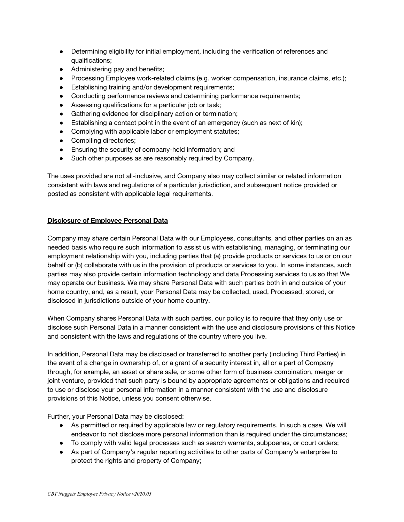- Determining eligibility for initial employment, including the verification of references and qualifications;
- Administering pay and benefits;
- Processing Employee work-related claims (e.g. worker compensation, insurance claims, etc.);
- Establishing training and/or development requirements;
- Conducting performance reviews and determining performance requirements;
- Assessing qualifications for a particular job or task;
- Gathering evidence for disciplinary action or termination;
- Establishing a contact point in the event of an emergency (such as next of kin);
- Complying with applicable labor or employment statutes;
- Compiling directories;
- Ensuring the security of company-held information; and
- Such other purposes as are reasonably required by Company.

The uses provided are not all-inclusive, and Company also may collect similar or related information consistent with laws and regulations of a particular jurisdiction, and subsequent notice provided or posted as consistent with applicable legal requirements.

## **Disclosure of Employee Personal Data**

Company may share certain Personal Data with our Employees, consultants, and other parties on an as needed basis who require such information to assist us with establishing, managing, or terminating our employment relationship with you, including parties that (a) provide products or services to us or on our behalf or (b) collaborate with us in the provision of products or services to you. In some instances, such parties may also provide certain information technology and data Processing services to us so that We may operate our business. We may share Personal Data with such parties both in and outside of your home country, and, as a result, your Personal Data may be collected, used, Processed, stored, or disclosed in jurisdictions outside of your home country.

When Company shares Personal Data with such parties, our policy is to require that they only use or disclose such Personal Data in a manner consistent with the use and disclosure provisions of this Notice and consistent with the laws and regulations of the country where you live.

In addition, Personal Data may be disclosed or transferred to another party (including Third Parties) in the event of a change in ownership of, or a grant of a security interest in, all or a part of Company through, for example, an asset or share sale, or some other form of business combination, merger or joint venture, provided that such party is bound by appropriate agreements or obligations and required to use or disclose your personal information in a manner consistent with the use and disclosure provisions of this Notice, unless you consent otherwise.

Further, your Personal Data may be disclosed:

- As permitted or required by applicable law or regulatory requirements. In such a case, We will endeavor to not disclose more personal information than is required under the circumstances;
- To comply with valid legal processes such as search warrants, subpoenas, or court orders;
- As part of Company's regular reporting activities to other parts of Company's enterprise to protect the rights and property of Company;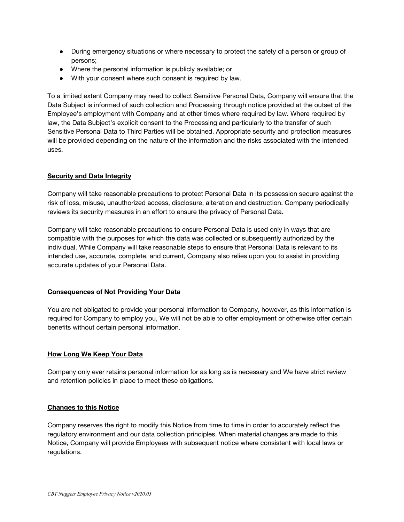- During emergency situations or where necessary to protect the safety of a person or group of persons;
- Where the personal information is publicly available; or
- With your consent where such consent is required by law.

To a limited extent Company may need to collect Sensitive Personal Data, Company will ensure that the Data Subject is informed of such collection and Processing through notice provided at the outset of the Employee's employment with Company and at other times where required by law. Where required by law, the Data Subject's explicit consent to the Processing and particularly to the transfer of such Sensitive Personal Data to Third Parties will be obtained. Appropriate security and protection measures will be provided depending on the nature of the information and the risks associated with the intended uses.

### **Security and Data Integrity**

Company will take reasonable precautions to protect Personal Data in its possession secure against the risk of loss, misuse, unauthorized access, disclosure, alteration and destruction. Company periodically reviews its security measures in an effort to ensure the privacy of Personal Data.

Company will take reasonable precautions to ensure Personal Data is used only in ways that are compatible with the purposes for which the data was collected or subsequently authorized by the individual. While Company will take reasonable steps to ensure that Personal Data is relevant to its intended use, accurate, complete, and current, Company also relies upon you to assist in providing accurate updates of your Personal Data.

### **Consequences of Not Providing Your Data**

You are not obligated to provide your personal information to Company, however, as this information is required for Company to employ you, We will not be able to offer employment or otherwise offer certain benefits without certain personal information.

### **How Long We Keep Your Data**

Company only ever retains personal information for as long as is necessary and We have strict review and retention policies in place to meet these obligations.

### **Changes to this Notice**

Company reserves the right to modify this Notice from time to time in order to accurately reflect the regulatory environment and our data collection principles. When material changes are made to this Notice, Company will provide Employees with subsequent notice where consistent with local laws or regulations.